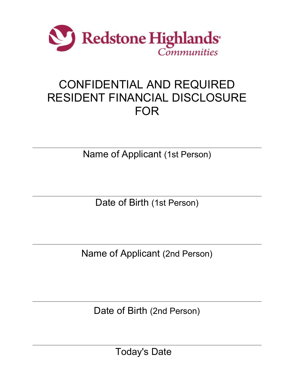

## CONFIDENTIAL AND REQUIRED RESIDENT FINANCIAL DISCLOSURE FOR

Name of Applicant (1st Person)

Date of Birth (1st Person)

Name of Applicant (2nd Person)

Date of Birth (2nd Person)

Today's Date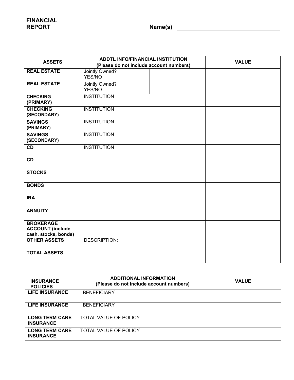**FINANCIAL**

**REPORT Name(s)** 

| <b>ASSETS</b>                               | <b>ADDTL INFO/FINANCIAL INSTITUTION</b> |  | <b>VALUE</b> |
|---------------------------------------------|-----------------------------------------|--|--------------|
|                                             | (Please do not include account numbers) |  |              |
| <b>REAL ESTATE</b>                          | Jointly Owned?                          |  |              |
|                                             | YES/NO                                  |  |              |
| <b>REAL ESTATE</b>                          | Jointly Owned?                          |  |              |
|                                             | YES/NO                                  |  |              |
| <b>CHECKING</b><br>(PRIMARY)                | <b>INSTITUTION</b>                      |  |              |
| <b>CHECKING</b>                             | <b>INSTITUTION</b>                      |  |              |
| (SECONDARY)                                 |                                         |  |              |
| <b>SAVINGS</b><br>(PRIMARY)                 | <b>INSTITUTION</b>                      |  |              |
| <b>SAVINGS</b>                              | <b>INSTITUTION</b>                      |  |              |
| (SECONDARY)                                 |                                         |  |              |
| CD                                          | <b>INSTITUTION</b>                      |  |              |
| CD                                          |                                         |  |              |
|                                             |                                         |  |              |
| <b>STOCKS</b>                               |                                         |  |              |
| <b>BONDS</b>                                |                                         |  |              |
| <b>IRA</b>                                  |                                         |  |              |
| <b>ANNUITY</b>                              |                                         |  |              |
| <b>BROKERAGE</b><br><b>ACCOUNT</b> (include |                                         |  |              |
| cash, stocks, bonds)                        |                                         |  |              |
| <b>OTHER ASSETS</b>                         | <b>DESCRIPTION:</b>                     |  |              |
|                                             |                                         |  |              |
| <b>TOTAL ASSETS</b>                         |                                         |  |              |
|                                             |                                         |  |              |

| <b>INSURANCE</b><br><b>POLICIES</b>       | <b>ADDITIONAL INFORMATION</b><br>(Please do not include account numbers) | <b>VALUE</b> |
|-------------------------------------------|--------------------------------------------------------------------------|--------------|
| <b>LIFE INSURANCE</b>                     | <b>BENEFICIARY</b>                                                       |              |
| <b>LIFE INSURANCE</b>                     | <b>BENEFICIARY</b>                                                       |              |
| <b>LONG TERM CARE</b><br><b>INSURANCE</b> | <b>TOTAL VALUE OF POLICY</b>                                             |              |
| <b>LONG TERM CARE</b><br><b>INSURANCE</b> | <b>TOTAL VALUE OF POLICY</b>                                             |              |